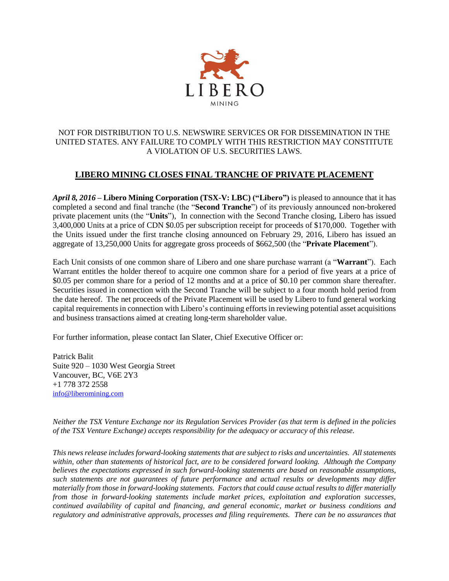

## NOT FOR DISTRIBUTION TO U.S. NEWSWIRE SERVICES OR FOR DISSEMINATION IN THE UNITED STATES. ANY FAILURE TO COMPLY WITH THIS RESTRICTION MAY CONSTITUTE A VIOLATION OF U.S. SECURITIES LAWS.

## **LIBERO MINING CLOSES FINAL TRANCHE OF PRIVATE PLACEMENT**

*April 8, 2016* **– Libero Mining Corporation (TSX-V: LBC) ("Libero")** is pleased to announce that it has completed a second and final tranche (the "**Second Tranche**") of its previously announced non-brokered private placement units (the "**Units**"), In connection with the Second Tranche closing, Libero has issued 3,400,000 Units at a price of CDN \$0.05 per subscription receipt for proceeds of \$170,000. Together with the Units issued under the first tranche closing announced on February 29, 2016, Libero has issued an aggregate of 13,250,000 Units for aggregate gross proceeds of \$662,500 (the "**Private Placement**").

Each Unit consists of one common share of Libero and one share purchase warrant (a "**Warrant**"). Each Warrant entitles the holder thereof to acquire one common share for a period of five years at a price of \$0.05 per common share for a period of 12 months and at a price of \$0.10 per common share thereafter. Securities issued in connection with the Second Tranche will be subject to a four month hold period from the date hereof. The net proceeds of the Private Placement will be used by Libero to fund general working capital requirements in connection with Libero's continuing efforts in reviewing potential asset acquisitions and business transactions aimed at creating long-term shareholder value.

For further information, please contact Ian Slater, Chief Executive Officer or:

Patrick Balit Suite 920 – 1030 West Georgia Street Vancouver, BC, V6E 2Y3 +1 778 372 2558 [info@liberomining.com](mailto:info@liberomining.com) 

*Neither the TSX Venture Exchange nor its Regulation Services Provider (as that term is defined in the policies of the TSX Venture Exchange) accepts responsibility for the adequacy or accuracy of this release.* 

*This news release includes forward-looking statements that are subject to risks and uncertainties. All statements within, other than statements of historical fact, are to be considered forward looking. Although the Company believes the expectations expressed in such forward-looking statements are based on reasonable assumptions, such statements are not guarantees of future performance and actual results or developments may differ materially from those in forward-looking statements. Factors that could cause actual results to differ materially from those in forward-looking statements include market prices, exploitation and exploration successes, continued availability of capital and financing, and general economic, market or business conditions and regulatory and administrative approvals, processes and filing requirements. There can be no assurances that*